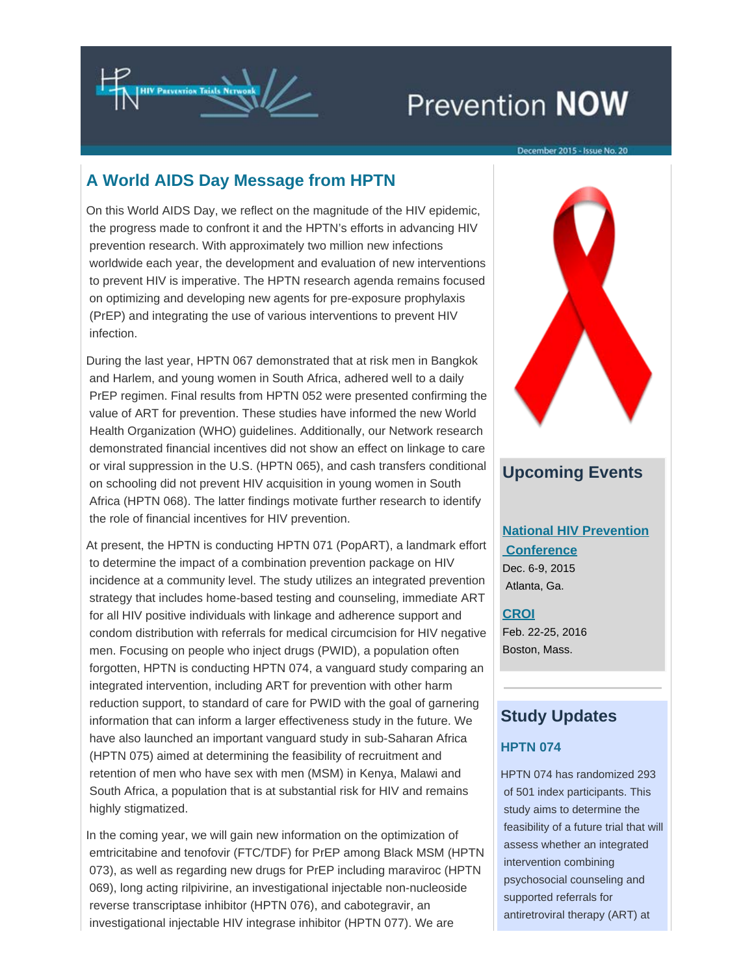

# Prevention NOW

### **A World AIDS Day Message from HPTN**

On this World AIDS Day, we reflect on the magnitude of the HIV epidemic, the progress made to confront it and the HPTN's efforts in advancing HIV prevention research. With approximately two million new infections worldwide each year, the development and evaluation of new interventions to prevent HIV is imperative. The HPTN research agenda remains focused on optimizing and developing new agents for pre-exposure prophylaxis (PrEP) and integrating the use of various interventions to prevent HIV infection.

During the last year, HPTN 067 demonstrated that at risk men in Bangkok and Harlem, and young women in South Africa, adhered well to a daily PrEP regimen. Final results from HPTN 052 were presented confirming the value of ART for prevention. These studies have informed the new World Health Organization (WHO) guidelines. Additionally, our Network research demonstrated financial incentives did not show an effect on linkage to care or viral suppression in the U.S. (HPTN 065), and cash transfers conditional on schooling did not prevent HIV acquisition in young women in South Africa (HPTN 068). The latter findings motivate further research to identify the role of financial incentives for HIV prevention.

At present, the HPTN is conducting HPTN 071 (PopART), a landmark effort to determine the impact of a combination prevention package on HIV incidence at a community level. The study utilizes an integrated prevention strategy that includes home-based testing and counseling, immediate ART for all HIV positive individuals with linkage and adherence support and condom distribution with referrals for medical circumcision for HIV negative men. Focusing on people who inject drugs (PWID), a population often forgotten, HPTN is conducting HPTN 074, a vanguard study comparing an integrated intervention, including ART for prevention with other harm reduction support, to standard of care for PWID with the goal of garnering information that can inform a larger effectiveness study in the future. We have also launched an important vanguard study in sub-Saharan Africa (HPTN 075) aimed at determining the feasibility of recruitment and retention of men who have sex with men (MSM) in Kenya, Malawi and South Africa, a population that is at substantial risk for HIV and remains highly stigmatized.

In the coming year, we will gain new information on the optimization of emtricitabine and tenofovir (FTC/TDF) for PrEP among Black MSM (HPTN 073), as well as regarding new drugs for PrEP including maraviroc (HPTN 069), long acting rilpivirine, an investigational injectable non-nucleoside reverse transcriptase inhibitor (HPTN 076), and cabotegravir, an investigational injectable HIV integrase inhibitor (HPTN 077). We are



### **Upcoming Events**

### **[National HIV Prevention](https://t.e2ma.net/click/4xp1l/wbvofp/skrkfh)  [Conference](https://t.e2ma.net/click/4xp1l/wbvofp/skrkfh)**

Dec. 6-9, 2015 Atlanta, Ga.

#### **[CROI](https://t.e2ma.net/click/4xp1l/wbvofp/o5skfh)**

Feb. 22-25, 2016 Boston, Mass.

# **Study Updates**

### **HPTN 074**

HPTN 074 has randomized 293 of 501 index participants. This study aims to determine the feasibility of a future trial that will assess whether an integrated intervention combining psychosocial counseling and supported referrals for antiretroviral therapy (ART) at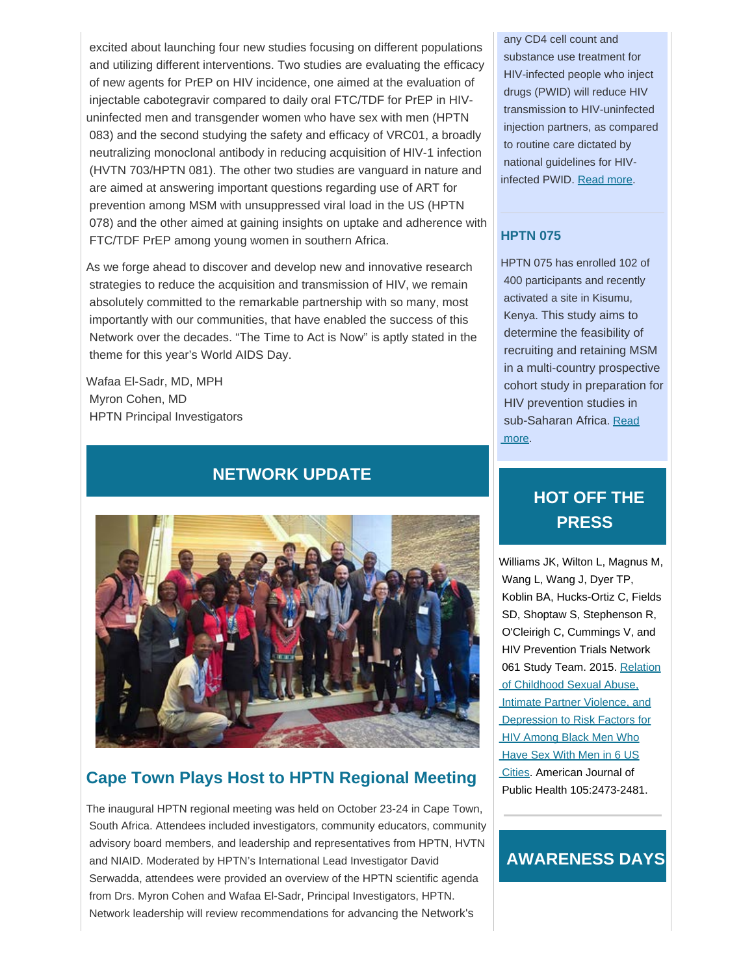excited about launching four new studies focusing on different populations and utilizing different interventions. Two studies are evaluating the efficacy of new agents for PrEP on HIV incidence, one aimed at the evaluation of injectable cabotegravir compared to daily oral FTC/TDF for PrEP in HIVuninfected men and transgender women who have sex with men (HPTN 083) and the second studying the safety and efficacy of VRC01, a broadly neutralizing monoclonal antibody in reducing acquisition of HIV-1 infection (HVTN 703/HPTN 081). The other two studies are vanguard in nature and are aimed at answering important questions regarding use of ART for prevention among MSM with unsuppressed viral load in the US (HPTN 078) and the other aimed at gaining insights on uptake and adherence with FTC/TDF PrEP among young women in southern Africa.

As we forge ahead to discover and develop new and innovative research strategies to reduce the acquisition and transmission of HIV, we remain absolutely committed to the remarkable partnership with so many, most importantly with our communities, that have enabled the success of this Network over the decades. "The Time to Act is Now" is aptly stated in the theme for this year's World AIDS Day.

Wafaa El-Sadr, MD, MPH Myron Cohen, MD HPTN Principal Investigators

### **NETWORK UPDATE**



### **Cape Town Plays Host to HPTN Regional Meeting**

The inaugural HPTN regional meeting was held on October 23-24 in Cape Town, South Africa. Attendees included investigators, community educators, community advisory board members, and leadership and representatives from HPTN, HVTN and NIAID. Moderated by HPTN's International Lead Investigator David Serwadda, attendees were provided an overview of the HPTN scientific agenda from Drs. Myron Cohen and Wafaa El-Sadr, Principal Investigators, HPTN. Network leadership will review recommendations for advancing the Network's

 any CD4 cell count and substance use treatment for HIV-infected people who inject drugs (PWID) will reduce HIV transmission to HIV-uninfected injection partners, as compared to routine care dictated by national guidelines for HIVinfected PWID. [Read more](https://t.e2ma.net/click/4xp1l/wbvofp/4xtkfh).

#### **HPTN 075**

HPTN 075 has enrolled 102 of 400 participants and recently activated a site in Kisumu, Kenya. This study aims to determine the feasibility of recruiting and retaining MSM in a multi-country prospective cohort study in preparation for HIV prevention studies in sub-Saharan Africa. [Read](https://t.e2ma.net/click/4xp1l/wbvofp/kqukfh)  [more.](https://t.e2ma.net/click/4xp1l/wbvofp/kqukfh)

# **HOT OFF THE PRESS**

Williams JK, Wilton L, Magnus M, Wang L, Wang J, Dyer TP, Koblin BA, Hucks-Ortiz C, Fields SD, Shoptaw S, Stephenson R, O'Cleirigh C, Cummings V, and HIV Prevention Trials Network 061 Study Team. 2015. [Relation](https://t.e2ma.net/click/4xp1l/wbvofp/0ivkfh)  [of Childhood Sexual Abuse,](https://t.e2ma.net/click/4xp1l/wbvofp/0ivkfh)  [Intimate Partner Violence, and](https://t.e2ma.net/click/4xp1l/wbvofp/0ivkfh)  [Depression to Risk Factors for](https://t.e2ma.net/click/4xp1l/wbvofp/0ivkfh) **HIV Among Black Men Who**  [Have Sex With Men in 6 US](https://t.e2ma.net/click/4xp1l/wbvofp/0ivkfh)  [Cities](https://t.e2ma.net/click/4xp1l/wbvofp/0ivkfh). American Journal of Public Health 105:2473-2481.

### **AWARENESS DAYS**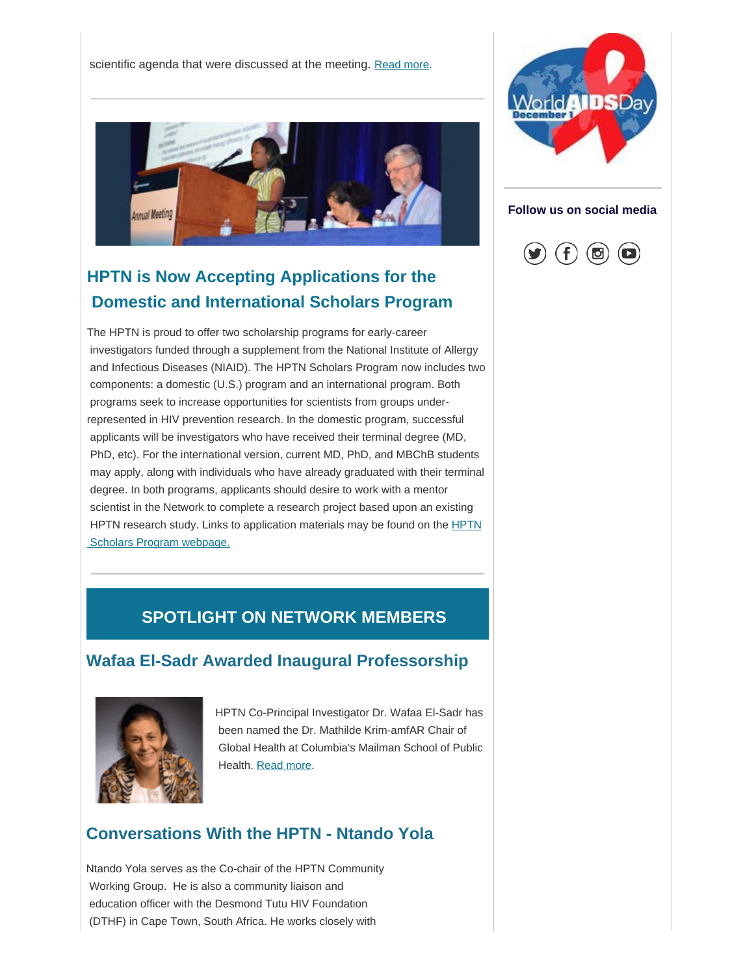scientific agenda that were discussed at the meeting. [Read more](https://t.e2ma.net/click/4xp1l/wbvofp/kmnkfh).



# **HPTN is Now Accepting Applications for the Domestic and International Scholars Program**

The HPTN is proud to offer two scholarship programs for early-career investigators funded through a supplement from the National Institute of Allergy and Infectious Diseases (NIAID). The HPTN Scholars Program now includes two components: a domestic (U.S.) program and an international program. Both programs seek to increase opportunities for scientists from groups underrepresented in HIV prevention research. In the domestic program, successful applicants will be investigators who have received their terminal degree (MD, PhD, etc). For the international version, current MD, PhD, and MBChB students may apply, along with individuals who have already graduated with their terminal degree. In both programs, applicants should desire to work with a mentor scientist in the Network to complete a research project based upon an existing [HPTN](https://t.e2ma.net/click/4xp1l/wbvofp/0eokfh) research study. Links to application materials may be found on the **HPTN** Scholars Program webpage.

# **SPOTLIGHT ON NETWORK MEMBERS**

### **Wafaa El-Sadr Awarded Inaugural Professorship**



HPTN Co-Principal Investigator Dr. Wafaa El-Sadr has been named the Dr. Mathilde Krim-amfAR Chair of Global Health at Columbia's Mailman School of Public Health. [Read more](https://t.e2ma.net/click/4xp1l/wbvofp/g7okfh).

### **Conversations With the HPTN - Ntando Yola**

Ntando Yola serves as the Co-chair of the HPTN Community Working Group. He is also a community liaison and education officer with the Desmond Tutu HIV Foundation (DTHF) in Cape Town, South Africa. He works closely with



**Follow us on social media**